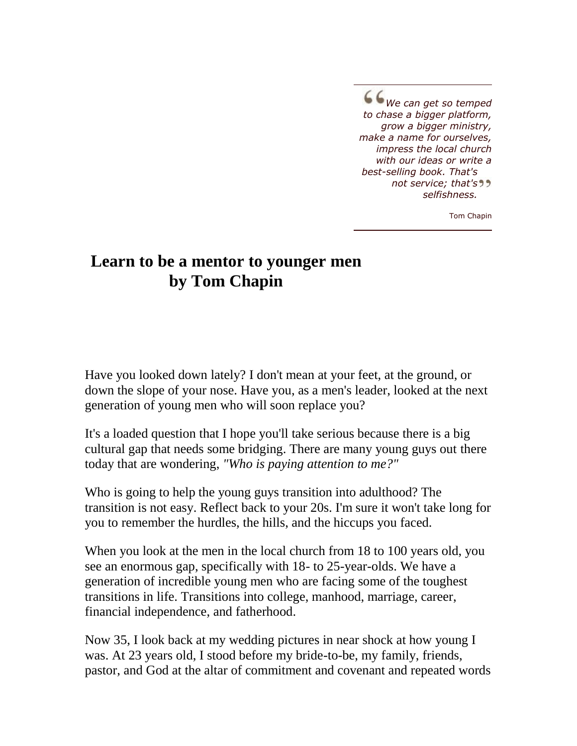*We can get so temped to chase a bigger platform, grow a bigger ministry, make a name for ourselves, impress the local church with our ideas or write a best-selling book. That's not service; that's selfishness.*

Tom Chapin

## **Learn to be a mentor to younger men by Tom Chapin**

Have you looked down lately? I don't mean at your feet, at the ground, or down the slope of your nose. Have you, as a men's leader, looked at the next generation of young men who will soon replace you?

It's a loaded question that I hope you'll take serious because there is a big cultural gap that needs some bridging. There are many young guys out there today that are wondering, *"Who is paying attention to me?"*

Who is going to help the young guys transition into adulthood? The transition is not easy. Reflect back to your 20s. I'm sure it won't take long for you to remember the hurdles, the hills, and the hiccups you faced.

When you look at the men in the local church from 18 to 100 years old, you see an enormous gap, specifically with 18- to 25-year-olds. We have a generation of incredible young men who are facing some of the toughest transitions in life. Transitions into college, manhood, marriage, career, financial independence, and fatherhood.

Now 35, I look back at my wedding pictures in near shock at how young I was. At 23 years old, I stood before my bride-to-be, my family, friends, pastor, and God at the altar of commitment and covenant and repeated words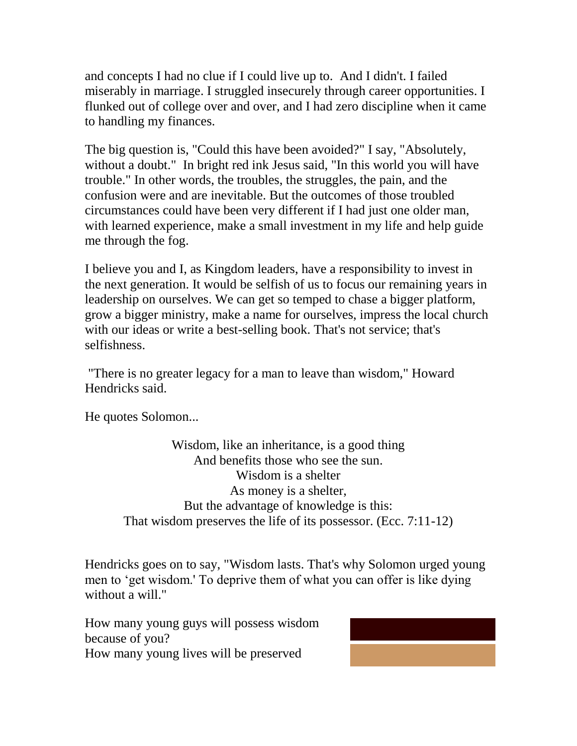and concepts I had no clue if I could live up to. And I didn't. I failed miserably in marriage. I struggled insecurely through career opportunities. I flunked out of college over and over, and I had zero discipline when it came to handling my finances.

The big question is, "Could this have been avoided?" I say, "Absolutely, without a doubt." In bright red ink Jesus said, "In this world you will have trouble." In other words, the troubles, the struggles, the pain, and the confusion were and are inevitable. But the outcomes of those troubled circumstances could have been very different if I had just one older man, with learned experience, make a small investment in my life and help guide me through the fog.

I believe you and I, as Kingdom leaders, have a responsibility to invest in the next generation. It would be selfish of us to focus our remaining years in leadership on ourselves. We can get so temped to chase a bigger platform, grow a bigger ministry, make a name for ourselves, impress the local church with our ideas or write a best-selling book. That's not service; that's selfishness.

"There is no greater legacy for a man to leave than wisdom," Howard Hendricks said.

He quotes Solomon...

Wisdom, like an inheritance, is a good thing And benefits those who see the sun. Wisdom is a shelter As money is a shelter, But the advantage of knowledge is this: That wisdom preserves the life of its possessor. (Ecc. 7:11-12)

Hendricks goes on to say, "Wisdom lasts. That's why Solomon urged young men to 'get wisdom.' To deprive them of what you can offer is like dying without a will."

How many young guys will possess wisdom because of you? How many young lives will be preserved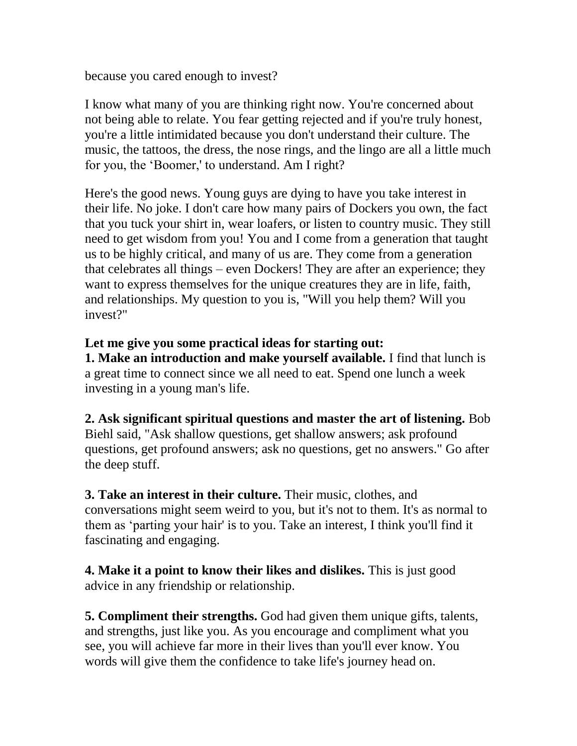because you cared enough to invest?

I know what many of you are thinking right now. You're concerned about not being able to relate. You fear getting rejected and if you're truly honest, you're a little intimidated because you don't understand their culture. The music, the tattoos, the dress, the nose rings, and the lingo are all a little much for you, the 'Boomer,' to understand. Am I right?

Here's the good news. Young guys are dying to have you take interest in their life. No joke. I don't care how many pairs of Dockers you own, the fact that you tuck your shirt in, wear loafers, or listen to country music. They still need to get wisdom from you! You and I come from a generation that taught us to be highly critical, and many of us are. They come from a generation that celebrates all things – even Dockers! They are after an experience; they want to express themselves for the unique creatures they are in life, faith, and relationships. My question to you is, "Will you help them? Will you invest?"

## **Let me give you some practical ideas for starting out:**

**1. Make an introduction and make yourself available.** I find that lunch is a great time to connect since we all need to eat. Spend one lunch a week investing in a young man's life.

## **2. Ask significant spiritual questions and master the art of listening.** Bob

Biehl said, "Ask shallow questions, get shallow answers; ask profound questions, get profound answers; ask no questions, get no answers." Go after the deep stuff.

**3. Take an interest in their culture.** Their music, clothes, and conversations might seem weird to you, but it's not to them. It's as normal to them as 'parting your hair' is to you. Take an interest, I think you'll find it fascinating and engaging.

**4. Make it a point to know their likes and dislikes.** This is just good advice in any friendship or relationship.

**5. Compliment their strengths.** God had given them unique gifts, talents, and strengths, just like you. As you encourage and compliment what you see, you will achieve far more in their lives than you'll ever know. You words will give them the confidence to take life's journey head on.